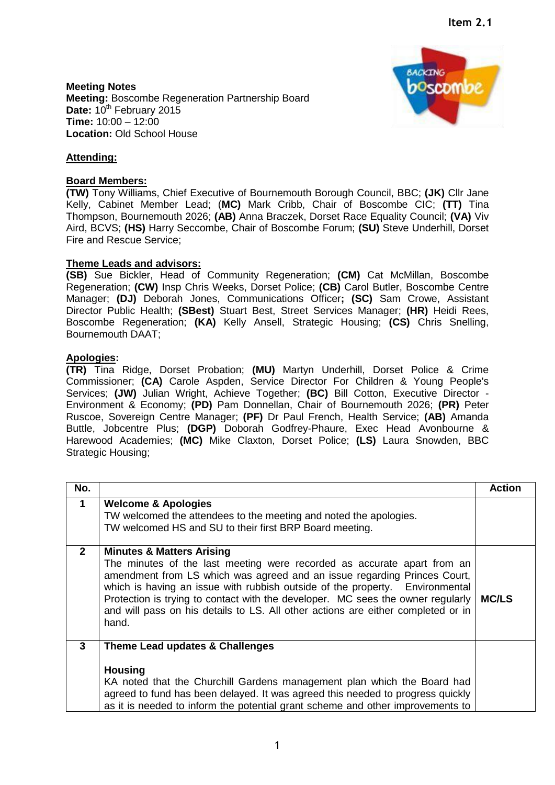**Meeting Notes Meeting:** Boscombe Regeneration Partnership Board Date:  $10^{th}$  February 2015 **Time:** 10:00 – 12:00 **Location:** Old School House



## **Attending:**

## **Board Members:**

**(TW)** Tony Williams, Chief Executive of Bournemouth Borough Council, BBC; **(JK)** Cllr Jane Kelly, Cabinet Member Lead; (**MC)** Mark Cribb, Chair of Boscombe CIC; **(TT)** Tina Thompson, Bournemouth 2026; **(AB)** Anna Braczek, Dorset Race Equality Council; **(VA)** Viv Aird, BCVS; **(HS)** Harry Seccombe, Chair of Boscombe Forum; **(SU)** Steve Underhill, Dorset Fire and Rescue Service;

## **Theme Leads and advisors:**

**(SB)** Sue Bickler, Head of Community Regeneration; **(CM)** Cat McMillan, Boscombe Regeneration; **(CW)** Insp Chris Weeks, Dorset Police; **(CB)** Carol Butler, Boscombe Centre Manager; **(DJ)** Deborah Jones, Communications Officer**; (SC)** Sam Crowe, Assistant Director Public Health; **(SBest)** Stuart Best, Street Services Manager; **(HR)** Heidi Rees, Boscombe Regeneration; **(KA)** Kelly Ansell, Strategic Housing; **(CS)** Chris Snelling, Bournemouth DAAT;

## **Apologies:**

**(TR)** Tina Ridge, Dorset Probation; **(MU)** Martyn Underhill, Dorset Police & Crime Commissioner; **(CA)** Carole Aspden, Service Director For Children & Young People's Services; **(JW)** Julian Wright, Achieve Together; **(BC)** Bill Cotton, Executive Director - Environment & Economy; **(PD)** Pam Donnellan, Chair of Bournemouth 2026; **(PR)** Peter Ruscoe, Sovereign Centre Manager; **(PF)** Dr Paul French, Health Service; **(AB)** Amanda Buttle, Jobcentre Plus; **(DGP)** Doborah Godfrey-Phaure, Exec Head Avonbourne & Harewood Academies; **(MC)** Mike Claxton, Dorset Police; **(LS)** Laura Snowden, BBC Strategic Housing;

| No.          |                                                                                                                                                                                                                                                                                                                                                                                                                                                             | <b>Action</b> |
|--------------|-------------------------------------------------------------------------------------------------------------------------------------------------------------------------------------------------------------------------------------------------------------------------------------------------------------------------------------------------------------------------------------------------------------------------------------------------------------|---------------|
| 1            | <b>Welcome &amp; Apologies</b><br>TW welcomed the attendees to the meeting and noted the apologies.<br>TW welcomed HS and SU to their first BRP Board meeting.                                                                                                                                                                                                                                                                                              |               |
| $\mathbf{2}$ | <b>Minutes &amp; Matters Arising</b><br>The minutes of the last meeting were recorded as accurate apart from an<br>amendment from LS which was agreed and an issue regarding Princes Court,<br>which is having an issue with rubbish outside of the property. Environmental<br>Protection is trying to contact with the developer. MC sees the owner regularly<br>and will pass on his details to LS. All other actions are either completed or in<br>hand. | <b>MC/LS</b>  |
| 3            | Theme Lead updates & Challenges<br><b>Housing</b><br>KA noted that the Churchill Gardens management plan which the Board had<br>agreed to fund has been delayed. It was agreed this needed to progress quickly<br>as it is needed to inform the potential grant scheme and other improvements to                                                                                                                                                            |               |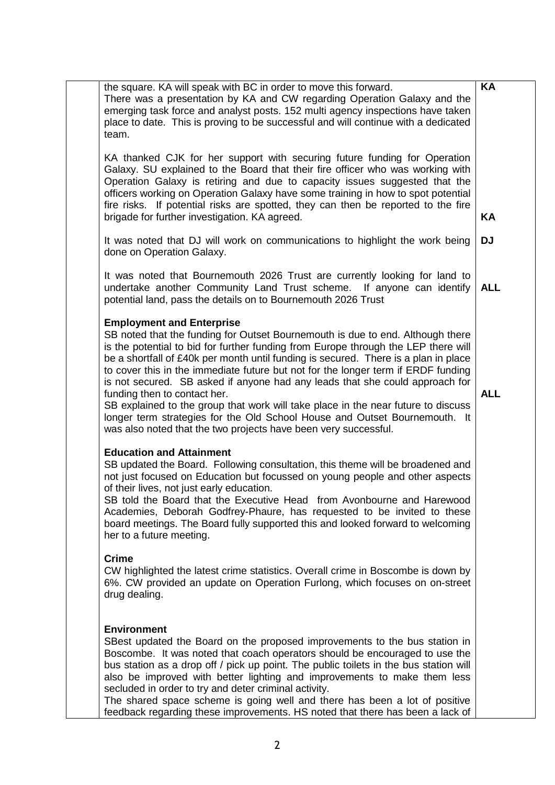| the square. KA will speak with BC in order to move this forward.<br>There was a presentation by KA and CW regarding Operation Galaxy and the<br>emerging task force and analyst posts. 152 multi agency inspections have taken<br>place to date. This is proving to be successful and will continue with a dedicated<br>team.                                                                                                                                                                                                                                                                                                                                                                                                              | KA         |
|--------------------------------------------------------------------------------------------------------------------------------------------------------------------------------------------------------------------------------------------------------------------------------------------------------------------------------------------------------------------------------------------------------------------------------------------------------------------------------------------------------------------------------------------------------------------------------------------------------------------------------------------------------------------------------------------------------------------------------------------|------------|
| KA thanked CJK for her support with securing future funding for Operation<br>Galaxy. SU explained to the Board that their fire officer who was working with<br>Operation Galaxy is retiring and due to capacity issues suggested that the<br>officers working on Operation Galaxy have some training in how to spot potential<br>fire risks. If potential risks are spotted, they can then be reported to the fire<br>brigade for further investigation. KA agreed.                                                                                                                                                                                                                                                                        | KA         |
| It was noted that DJ will work on communications to highlight the work being<br>done on Operation Galaxy.                                                                                                                                                                                                                                                                                                                                                                                                                                                                                                                                                                                                                                  | <b>DJ</b>  |
| It was noted that Bournemouth 2026 Trust are currently looking for land to<br>undertake another Community Land Trust scheme. If anyone can identify<br>potential land, pass the details on to Bournemouth 2026 Trust                                                                                                                                                                                                                                                                                                                                                                                                                                                                                                                       | <b>ALL</b> |
| <b>Employment and Enterprise</b><br>SB noted that the funding for Outset Bournemouth is due to end. Although there<br>is the potential to bid for further funding from Europe through the LEP there will<br>be a shortfall of £40k per month until funding is secured. There is a plan in place<br>to cover this in the immediate future but not for the longer term if ERDF funding<br>is not secured. SB asked if anyone had any leads that she could approach for<br>funding then to contact her.<br>SB explained to the group that work will take place in the near future to discuss<br>longer term strategies for the Old School House and Outset Bournemouth. It<br>was also noted that the two projects have been very successful. | <b>ALL</b> |
| <b>Education and Attainment</b><br>SB updated the Board. Following consultation, this theme will be broadened and<br>not just focused on Education but focussed on young people and other aspects<br>of their lives, not just early education.<br>SB told the Board that the Executive Head from Avonbourne and Harewood<br>Academies, Deborah Godfrey-Phaure, has requested to be invited to these<br>board meetings. The Board fully supported this and looked forward to welcoming<br>her to a future meeting.                                                                                                                                                                                                                          |            |
| <b>Crime</b><br>CW highlighted the latest crime statistics. Overall crime in Boscombe is down by<br>6%. CW provided an update on Operation Furlong, which focuses on on-street<br>drug dealing.                                                                                                                                                                                                                                                                                                                                                                                                                                                                                                                                            |            |
| <b>Environment</b><br>SBest updated the Board on the proposed improvements to the bus station in<br>Boscombe. It was noted that coach operators should be encouraged to use the<br>bus station as a drop off / pick up point. The public toilets in the bus station will<br>also be improved with better lighting and improvements to make them less<br>secluded in order to try and deter criminal activity.<br>The shared space scheme is going well and there has been a lot of positive<br>feedback regarding these improvements. HS noted that there has been a lack of                                                                                                                                                               |            |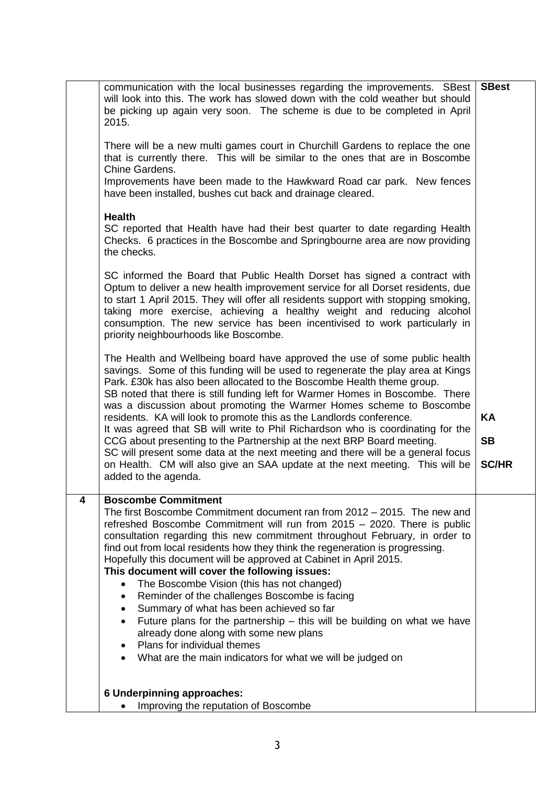| 4<br><b>Boscombe Commitment</b><br>The first Boscombe Commitment document ran from 2012 – 2015. The new and<br>refreshed Boscombe Commitment will run from 2015 - 2020. There is public<br>consultation regarding this new commitment throughout February, in order to<br>find out from local residents how they think the regeneration is progressing.<br>Hopefully this document will be approved at Cabinet in April 2015.<br>This document will cover the following issues:<br>The Boscombe Vision (this has not changed)<br>$\bullet$<br>Reminder of the challenges Boscombe is facing<br>٠<br>Summary of what has been achieved so far<br>$\bullet$<br>Future plans for the partnership $-$ this will be building on what we have<br>$\bullet$<br>already done along with some new plans<br>Plans for individual themes<br>٠<br>What are the main indicators for what we will be judged on | will look into this. The work has slowed down with the cold weather but should<br>be picking up again very soon. The scheme is due to be completed in April<br>2015.<br>There will be a new multi games court in Churchill Gardens to replace the one<br>that is currently there. This will be similar to the ones that are in Boscombe<br>Chine Gardens.<br>Improvements have been made to the Hawkward Road car park. New fences<br>have been installed, bushes cut back and drainage cleared.<br><b>Health</b><br>SC reported that Health have had their best quarter to date regarding Health<br>Checks. 6 practices in the Boscombe and Springbourne area are now providing<br>the checks.<br>SC informed the Board that Public Health Dorset has signed a contract with<br>Optum to deliver a new health improvement service for all Dorset residents, due<br>to start 1 April 2015. They will offer all residents support with stopping smoking,<br>taking more exercise, achieving a healthy weight and reducing alcohol<br>consumption. The new service has been incentivised to work particularly in<br>priority neighbourhoods like Boscombe.<br>The Health and Wellbeing board have approved the use of some public health<br>savings. Some of this funding will be used to regenerate the play area at Kings<br>Park. £30k has also been allocated to the Boscombe Health theme group.<br>SB noted that there is still funding left for Warmer Homes in Boscombe. There<br>was a discussion about promoting the Warmer Homes scheme to Boscombe<br>residents. KA will look to promote this as the Landlords conference.<br>It was agreed that SB will write to Phil Richardson who is coordinating for the<br>CCG about presenting to the Partnership at the next BRP Board meeting.<br>SC will present some data at the next meeting and there will be a general focus<br>on Health. CM will also give an SAA update at the next meeting. This will be<br>added to the agenda. | KA<br><b>SB</b><br><b>SC/HR</b> |
|--------------------------------------------------------------------------------------------------------------------------------------------------------------------------------------------------------------------------------------------------------------------------------------------------------------------------------------------------------------------------------------------------------------------------------------------------------------------------------------------------------------------------------------------------------------------------------------------------------------------------------------------------------------------------------------------------------------------------------------------------------------------------------------------------------------------------------------------------------------------------------------------------|----------------------------------------------------------------------------------------------------------------------------------------------------------------------------------------------------------------------------------------------------------------------------------------------------------------------------------------------------------------------------------------------------------------------------------------------------------------------------------------------------------------------------------------------------------------------------------------------------------------------------------------------------------------------------------------------------------------------------------------------------------------------------------------------------------------------------------------------------------------------------------------------------------------------------------------------------------------------------------------------------------------------------------------------------------------------------------------------------------------------------------------------------------------------------------------------------------------------------------------------------------------------------------------------------------------------------------------------------------------------------------------------------------------------------------------------------------------------------------------------------------------------------------------------------------------------------------------------------------------------------------------------------------------------------------------------------------------------------------------------------------------------------------------------------------------------------------------------------------------------------------------------------------------------------------------------------------------------------------------------|---------------------------------|
| <b>6 Underpinning approaches:</b><br>Improving the reputation of Boscombe                                                                                                                                                                                                                                                                                                                                                                                                                                                                                                                                                                                                                                                                                                                                                                                                                        |                                                                                                                                                                                                                                                                                                                                                                                                                                                                                                                                                                                                                                                                                                                                                                                                                                                                                                                                                                                                                                                                                                                                                                                                                                                                                                                                                                                                                                                                                                                                                                                                                                                                                                                                                                                                                                                                                                                                                                                              |                                 |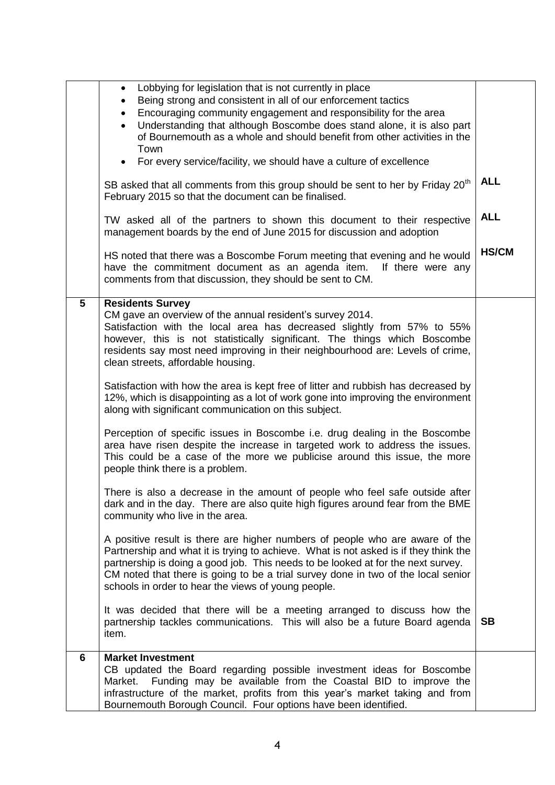|   | Lobbying for legislation that is not currently in place<br>$\bullet$<br>Being strong and consistent in all of our enforcement tactics<br>Encouraging community engagement and responsibility for the area<br>Understanding that although Boscombe does stand alone, it is also part<br>of Bournemouth as a whole and should benefit from other activities in the<br>Town<br>• For every service/facility, we should have a culture of excellence |              |
|---|--------------------------------------------------------------------------------------------------------------------------------------------------------------------------------------------------------------------------------------------------------------------------------------------------------------------------------------------------------------------------------------------------------------------------------------------------|--------------|
|   | SB asked that all comments from this group should be sent to her by Friday 20 <sup>th</sup><br>February 2015 so that the document can be finalised.                                                                                                                                                                                                                                                                                              | <b>ALL</b>   |
|   | TW asked all of the partners to shown this document to their respective<br>management boards by the end of June 2015 for discussion and adoption                                                                                                                                                                                                                                                                                                 | <b>ALL</b>   |
|   | HS noted that there was a Boscombe Forum meeting that evening and he would<br>have the commitment document as an agenda item.<br>If there were any<br>comments from that discussion, they should be sent to CM.                                                                                                                                                                                                                                  | <b>HS/CM</b> |
| 5 | <b>Residents Survey</b><br>CM gave an overview of the annual resident's survey 2014.<br>Satisfaction with the local area has decreased slightly from 57% to 55%<br>however, this is not statistically significant. The things which Boscombe<br>residents say most need improving in their neighbourhood are: Levels of crime,<br>clean streets, affordable housing.                                                                             |              |
|   | Satisfaction with how the area is kept free of litter and rubbish has decreased by<br>12%, which is disappointing as a lot of work gone into improving the environment<br>along with significant communication on this subject.                                                                                                                                                                                                                  |              |
|   | Perception of specific issues in Boscombe i.e. drug dealing in the Boscombe<br>area have risen despite the increase in targeted work to address the issues.<br>This could be a case of the more we publicise around this issue, the more<br>people think there is a problem.                                                                                                                                                                     |              |
|   | There is also a decrease in the amount of people who feel safe outside after<br>dark and in the day. There are also quite high figures around fear from the BME<br>community who live in the area.                                                                                                                                                                                                                                               |              |
|   | A positive result is there are higher numbers of people who are aware of the<br>Partnership and what it is trying to achieve. What is not asked is if they think the<br>partnership is doing a good job. This needs to be looked at for the next survey.<br>CM noted that there is going to be a trial survey done in two of the local senior<br>schools in order to hear the views of young people.                                             |              |
|   | It was decided that there will be a meeting arranged to discuss how the<br>partnership tackles communications. This will also be a future Board agenda<br>item.                                                                                                                                                                                                                                                                                  | <b>SB</b>    |
| 6 | <b>Market Investment</b><br>CB updated the Board regarding possible investment ideas for Boscombe<br>Funding may be available from the Coastal BID to improve the<br>Market.<br>infrastructure of the market, profits from this year's market taking and from<br>Bournemouth Borough Council. Four options have been identified.                                                                                                                 |              |